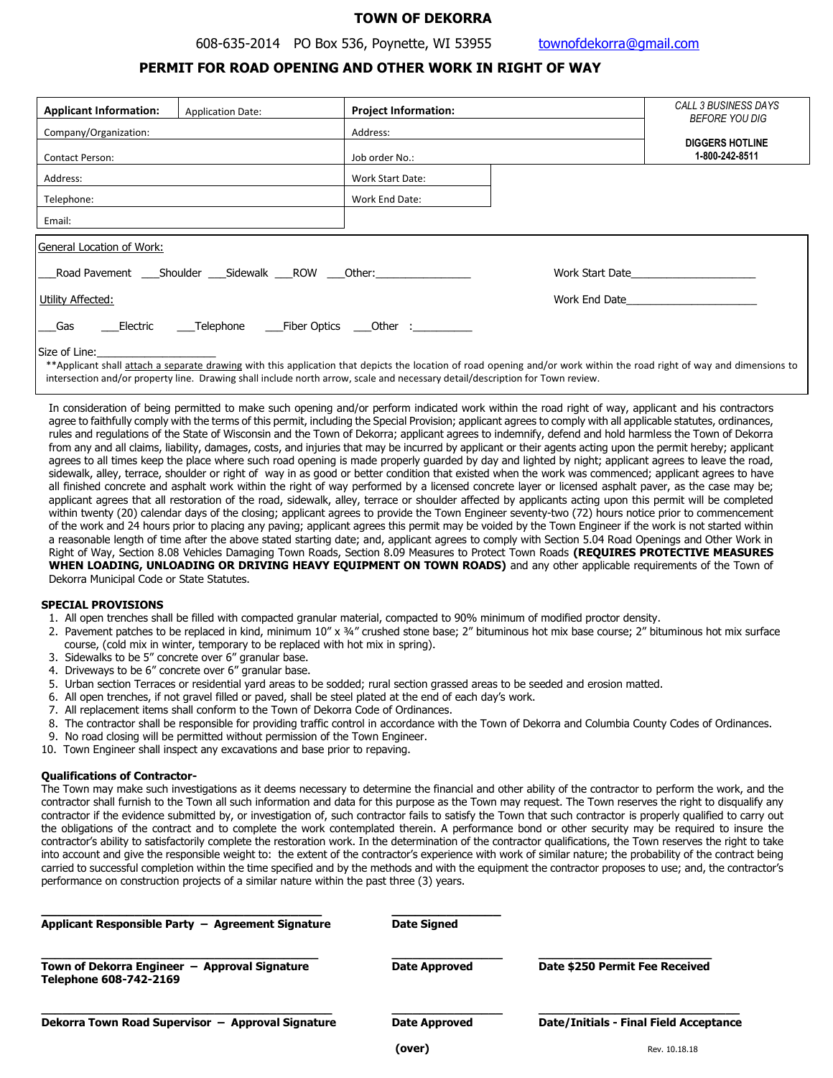# **TOWN OF DEKORRA**

# **PERMIT FOR ROAD OPENING AND OTHER WORK IN RIGHT OF WAY**

| <b>Applicant Information:</b>                                                   | <b>Application Date:</b>                   | <b>Project Information:</b> |                                                                                                                                                                         | CALL 3 BUSINESS DAYS<br>BEFORE YOU DIG    |  |
|---------------------------------------------------------------------------------|--------------------------------------------|-----------------------------|-------------------------------------------------------------------------------------------------------------------------------------------------------------------------|-------------------------------------------|--|
| Company/Organization:                                                           |                                            | Address:                    |                                                                                                                                                                         |                                           |  |
| <b>Contact Person:</b>                                                          |                                            | Job order No.:              |                                                                                                                                                                         | <b>DIGGERS HOTLINE</b><br>1-800-242-8511  |  |
| Address:                                                                        |                                            | Work Start Date:            |                                                                                                                                                                         |                                           |  |
| Telephone:                                                                      |                                            | Work End Date:              |                                                                                                                                                                         |                                           |  |
| Email:                                                                          |                                            |                             |                                                                                                                                                                         |                                           |  |
| General Location of Work:                                                       |                                            |                             |                                                                                                                                                                         |                                           |  |
|                                                                                 | Road Pavement Shoulder Sidewalk ROW Other: |                             |                                                                                                                                                                         | Work Start Date <b>North Start Date</b>   |  |
| Utility Affected:                                                               |                                            |                             |                                                                                                                                                                         | Work End Date <b>North Structure 1996</b> |  |
| ____Electric ______Telephone ______Fiber Optics _____Other :____________<br>Gas |                                            |                             |                                                                                                                                                                         |                                           |  |
| Size of Line: The state of Lines                                                |                                            |                             | ** Applicant shall attach a separate drawing with this application that depicts the location of road opening and/or work within the road right of way and dimensions to |                                           |  |

intersection and/or property line. Drawing shall include north arrow, scale and necessary detail/description for Town review.

In consideration of being permitted to make such opening and/or perform indicated work within the road right of way, applicant and his contractors agree to faithfully comply with the terms of this permit, including the Special Provision; applicant agrees to comply with all applicable statutes, ordinances, rules and regulations of the State of Wisconsin and the Town of Dekorra; applicant agrees to indemnify, defend and hold harmless the Town of Dekorra from any and all claims, liability, damages, costs, and injuries that may be incurred by applicant or their agents acting upon the permit hereby; applicant agrees to all times keep the place where such road opening is made properly guarded by day and lighted by night; applicant agrees to leave the road, sidewalk, alley, terrace, shoulder or right of way in as good or better condition that existed when the work was commenced; applicant agrees to have all finished concrete and asphalt work within the right of way performed by a licensed concrete layer or licensed asphalt paver, as the case may be; applicant agrees that all restoration of the road, sidewalk, alley, terrace or shoulder affected by applicants acting upon this permit will be completed within twenty (20) calendar days of the closing; applicant agrees to provide the Town Engineer seventy-two (72) hours notice prior to commencement of the work and 24 hours prior to placing any paving; applicant agrees this permit may be voided by the Town Engineer if the work is not started within a reasonable length of time after the above stated starting date; and, applicant agrees to comply with Section 5.04 Road Openings and Other Work in Right of Way, Section 8.08 Vehicles Damaging Town Roads, Section 8.09 Measures to Protect Town Roads **(REQUIRES PROTECTIVE MEASURES WHEN LOADING, UNLOADING OR DRIVING HEAVY EQUIPMENT ON TOWN ROADS)** and any other applicable requirements of the Town of Dekorra Municipal Code or State Statutes.

# **SPECIAL PROVISIONS**

- 1. All open trenches shall be filled with compacted granular material, compacted to 90% minimum of modified proctor density.
- 2. Pavement patches to be replaced in kind, minimum 10" x ¾" crushed stone base; 2" bituminous hot mix base course; 2" bituminous hot mix surface course, (cold mix in winter, temporary to be replaced with hot mix in spring).
- 3. Sidewalks to be 5" concrete over 6" granular base.
- 4. Driveways to be 6" concrete over 6" granular base.
- 5. Urban section Terraces or residential yard areas to be sodded; rural section grassed areas to be seeded and erosion matted.
- 6. All open trenches, if not gravel filled or paved, shall be steel plated at the end of each day's work.
- 7. All replacement items shall conform to the Town of Dekorra Code of Ordinances.
- 8. The contractor shall be responsible for providing traffic control in accordance with the Town of Dekorra and Columbia County Codes of Ordinances.
- 9. No road closing will be permitted without permission of the Town Engineer.
- 10. Town Engineer shall inspect any excavations and base prior to repaving.

# **Qualifications of Contractor-**

The Town may make such investigations as it deems necessary to determine the financial and other ability of the contractor to perform the work, and the contractor shall furnish to the Town all such information and data for this purpose as the Town may request. The Town reserves the right to disqualify any contractor if the evidence submitted by, or investigation of, such contractor fails to satisfy the Town that such contractor is properly qualified to carry out the obligations of the contract and to complete the work contemplated therein. A performance bond or other security may be required to insure the contractor's ability to satisfactorily complete the restoration work. In the determination of the contractor qualifications, the Town reserves the right to take into account and give the responsible weight to: the extent of the contractor's experience with work of similar nature; the probability of the contract being carried to successful completion within the time specified and by the methods and with the equipment the contractor proposes to use; and, the contractor's performance on construction projects of a similar nature within the past three (3) years.

| Applicant Responsible Party - Agreement Signature                                 | <b>Date Signed</b>   |                                               |
|-----------------------------------------------------------------------------------|----------------------|-----------------------------------------------|
| Town of Dekorra Engineer -<br><b>Approval Signature</b><br>Telephone 608-742-2169 | <b>Date Approved</b> | Date \$250 Permit Fee Received                |
| Dekorra Town Road Supervisor - Approval Signature                                 | <b>Date Approved</b> | <b>Date/Initials - Final Field Acceptance</b> |
|                                                                                   | (over)               | Rev. 10.18.18                                 |